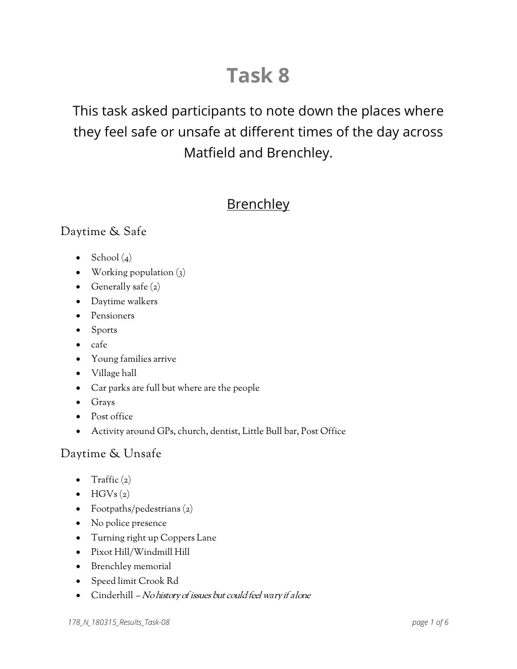# **Task 8**

This task asked participants to note down the places where they feel safe or unsafe at different times of the day across Matfield and Brenchley.

# **Brenchley**

### Daytime & Safe

- School $(4)$
- Working population  $(3)$
- Generally safe  $(z)$
- Daytime walkers
- Pensioners
- Sports
- cafe
- Young families arrive
- Village hall
- Car parks are full but where are the people
- Grays
- Post office
- Activity around GPs, church, dentist, Little Bull bar, Post Office

### Daytime & Unsafe

- Traffic  $(2)$
- $\bullet$  HGVs  $(z)$
- Footpaths/pedestrians (2)
- No police presence
- Turning right up Coppers Lane
- Pixot Hill/Windmill Hill
- Brenchley memorial
- Speed limit Crook Rd
- Cinderhill No history of issues but could feel wary if alone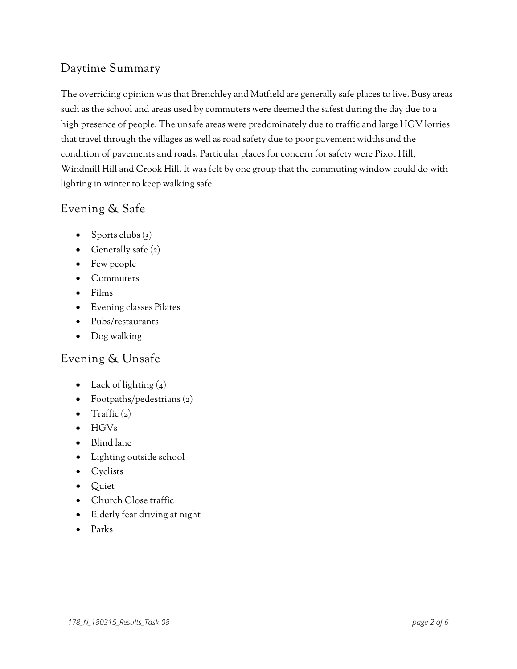# Daytime Summary

The overriding opinion was that Brenchley and Matfield are generally safe places to live. Busy areas such as the school and areas used by commuters were deemed the safest during the day due to a high presence of people. The unsafe areas were predominately due to traffic and large HGV lorries that travel through the villages as well as road safety due to poor pavement widths and the condition of pavements and roads. Particular places for concern for safety were Pixot Hill, Windmill Hill and Crook Hill. It was felt by one group that the commuting window could do with lighting in winter to keep walking safe.

# Evening & Safe

- Sports clubs  $(3)$
- Generally safe  $(2)$
- Few people
- Commuters
- Films
- Evening classes Pilates
- Pubs/restaurants
- Dog walking

#### Evening & Unsafe

- Lack of lighting  $(4)$
- Footpaths/pedestrians (2)
- Traffic  $(2)$
- HGVs
- Blind lane
- Lighting outside school
- Cyclists
- Quiet
- Church Close traffic
- Elderly fear driving at night
- Parks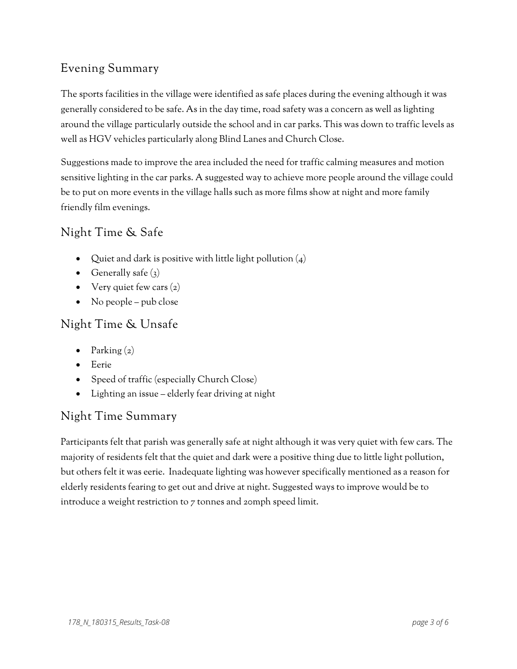# Evening Summary

The sports facilities in the village were identified as safe places during the evening although it was generally considered to be safe. As in the day time, road safety was a concern as well as lighting around the village particularly outside the school and in car parks. This was down to traffic levels as well as HGV vehicles particularly along Blind Lanes and Church Close.

Suggestions made to improve the area included the need for traffic calming measures and motion sensitive lighting in the car parks. A suggested way to achieve more people around the village could be to put on more events in the village halls such as more films show at night and more family friendly film evenings.

### Night Time & Safe

- Quiet and dark is positive with little light pollution  $(4)$
- Generally safe  $(3)$
- Very quiet few cars  $(2)$
- No people pub close

### Night Time & Unsafe

- Parking  $(z)$
- Eerie
- Speed of traffic (especially Church Close)
- Lighting an issue elderly fear driving at night

#### Night Time Summary

Participants felt that parish was generally safe at night although it was very quiet with few cars. The majority of residents felt that the quiet and dark were a positive thing due to little light pollution, but others felt it was eerie. Inadequate lighting was however specifically mentioned as a reason for elderly residents fearing to get out and drive at night. Suggested ways to improve would be to introduce a weight restriction to 7 tonnes and 20mph speed limit.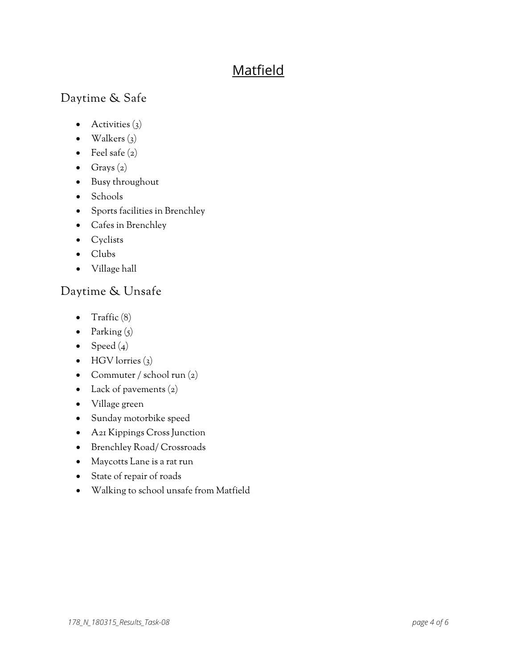# Matfield

# Daytime & Safe

- Activities  $(3)$
- Walkers  $(3)$
- Feel safe  $(2)$
- Grays  $(z)$
- Busy throughout
- Schools
- Sports facilities in Brenchley
- Cafes in Brenchley
- Cyclists
- Clubs
- Village hall

# Daytime & Unsafe

- Traffic (8)
- Parking  $(5)$
- Speed  $(4)$
- HGV lorries  $(3)$
- Commuter / school run (2)
- Lack of pavements  $(z)$
- Village green
- Sunday motorbike speed
- A21 Kippings Cross Junction
- Brenchley Road/ Crossroads
- Maycotts Lane is a rat run
- State of repair of roads
- Walking to school unsafe from Matfield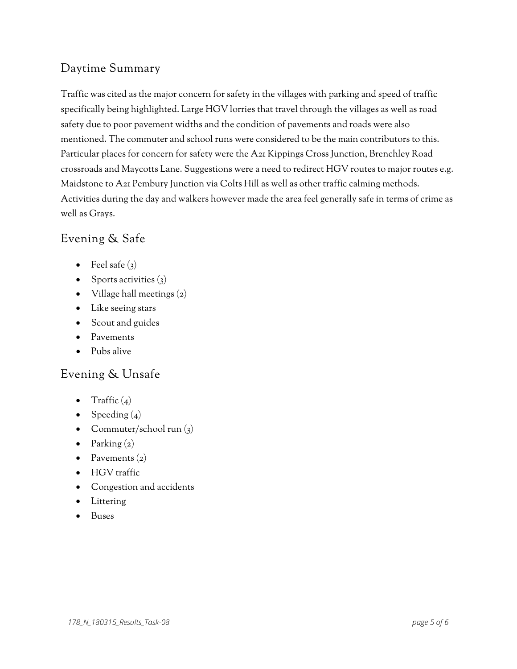# Daytime Summary

Traffic was cited as the major concern for safety in the villages with parking and speed of traffic specifically being highlighted. Large HGV lorries that travel through the villages as well as road safety due to poor pavement widths and the condition of pavements and roads were also mentioned. The commuter and school runs were considered to be the main contributors to this. Particular places for concern for safety were the A21 Kippings Cross Junction, Brenchley Road crossroads and Maycotts Lane. Suggestions were a need to redirect HGV routes to major routes e.g. Maidstone to A21 Pembury Junction via Colts Hill as well as other traffic calming methods. Activities during the day and walkers however made the area feel generally safe in terms of crime as well as Grays.

### Evening & Safe

- Feel safe  $(3)$
- Sports activities  $(3)$
- Village hall meetings  $(2)$
- Like seeing stars
- Scout and guides
- Pavements
- Pubs alive

# Evening & Unsafe

- Traffic  $(4)$
- Speeding  $(4)$
- Commuter/school run (3)
- Parking  $(z)$
- Pavements  $(z)$
- HGV traffic
- Congestion and accidents
- Littering
- Buses